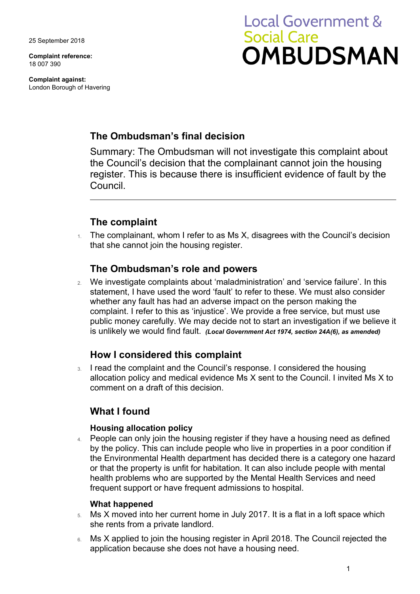25 September 2018

**Complaint reference:**  18 007 390

**Complaint against:**  London Borough of Havering

# **Local Government & Social Care OMBUDSMAN**

## **The Ombudsman's final decision**

 the Council's decision that the complainant cannot join the housing Summary: The Ombudsman will not investigate this complaint about register. This is because there is insufficient evidence of fault by the Council.

# **The complaint**

 $1.$  The complainant, whom I refer to as Ms X, disagrees with the Council's decision that she cannot join the housing register.

## **The Ombudsman's role and powers**

 public money carefully. We may decide not to start an investigation if we believe it 2. We investigate complaints about 'maladministration' and 'service failure'. In this statement, I have used the word 'fault' to refer to these. We must also consider whether any fault has had an adverse impact on the person making the complaint. I refer to this as 'injustice'. We provide a free service, but must use is unlikely we would find fault. *(Local Government Act 1974, section 24A(6), as amended)* 

## **How I considered this complaint**

 comment on a draft of this decision. 3. I read the complaint and the Council's response. I considered the housing allocation policy and medical evidence Ms X sent to the Council. I invited Ms X to

## **What I found**

#### **Housing allocation policy**

4. People can only join the housing register if they have a housing need as defined by the policy. This can include people who live in properties in a poor condition if the Environmental Health department has decided there is a category one hazard or that the property is unfit for habitation. It can also include people with mental health problems who are supported by the Mental Health Services and need frequent support or have frequent admissions to hospital.

#### **What happened**

- 5. Ms X moved into her current home in July 2017. It is a flat in a loft space which she rents from a private landlord.
- application because she does not have a housing need. 6. Ms X applied to join the housing register in April 2018. The Council rejected the